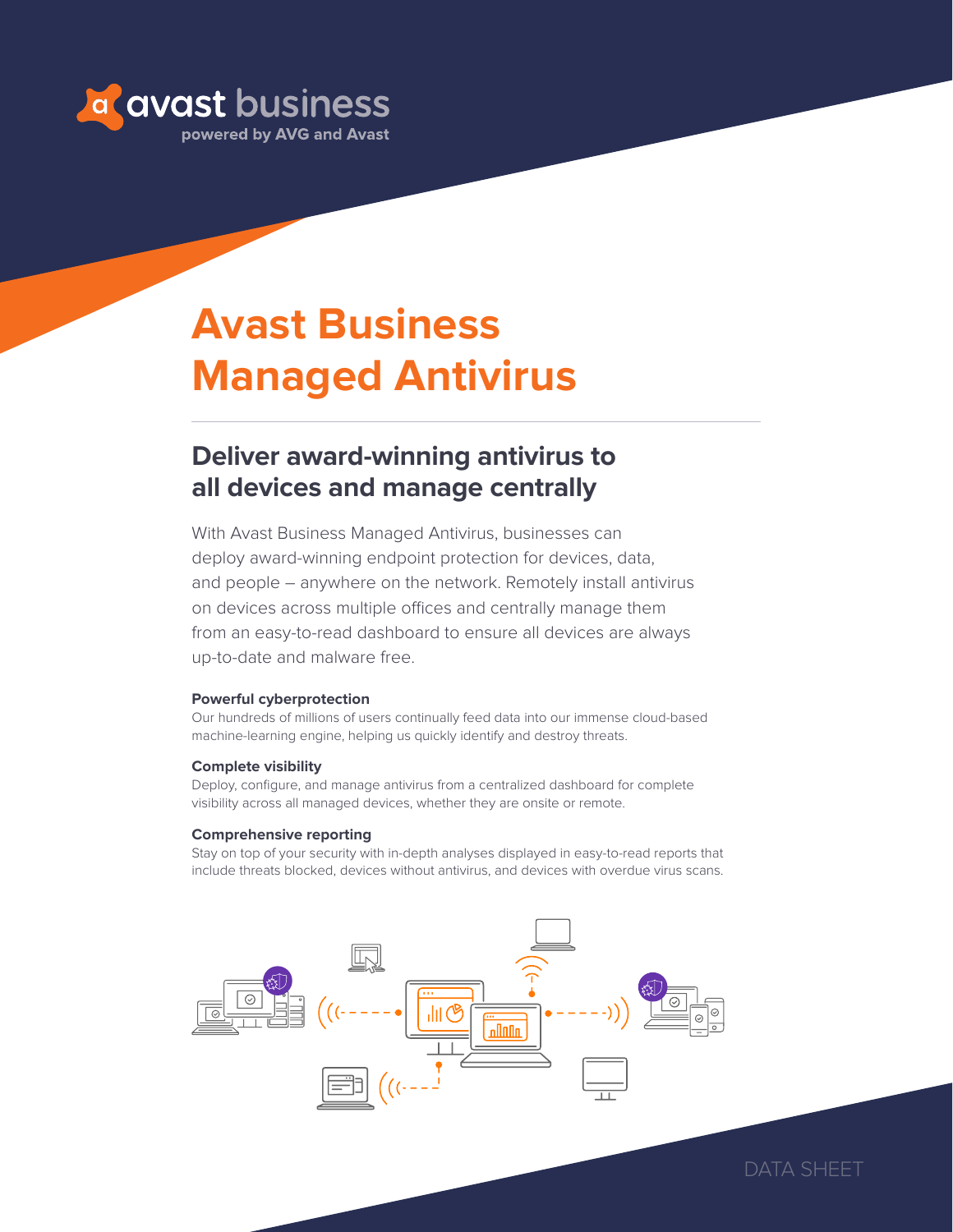

# **Avast Business Managed Antivirus**

# **Deliver award-winning antivirus to all devices and manage centrally**

With Avast Business Managed Antivirus, businesses can deploy award-winning endpoint protection for devices, data, and people – anywhere on the network. Remotely install antivirus on devices across multiple offices and centrally manage them from an easy-to-read dashboard to ensure all devices are always up-to-date and malware free.

#### **Powerful cyberprotection**

Our hundreds of millions of users continually feed data into our immense cloud-based machine-learning engine, helping us quickly identify and destroy threats.

#### **Complete visibility**

Deploy, configure, and manage antivirus from a centralized dashboard for complete visibility across all managed devices, whether they are onsite or remote.

#### **Comprehensive reporting**

Stay on top of your security with in-depth analyses displayed in easy-to-read reports that include threats blocked, devices without antivirus, and devices with overdue virus scans.



DATA SHFFT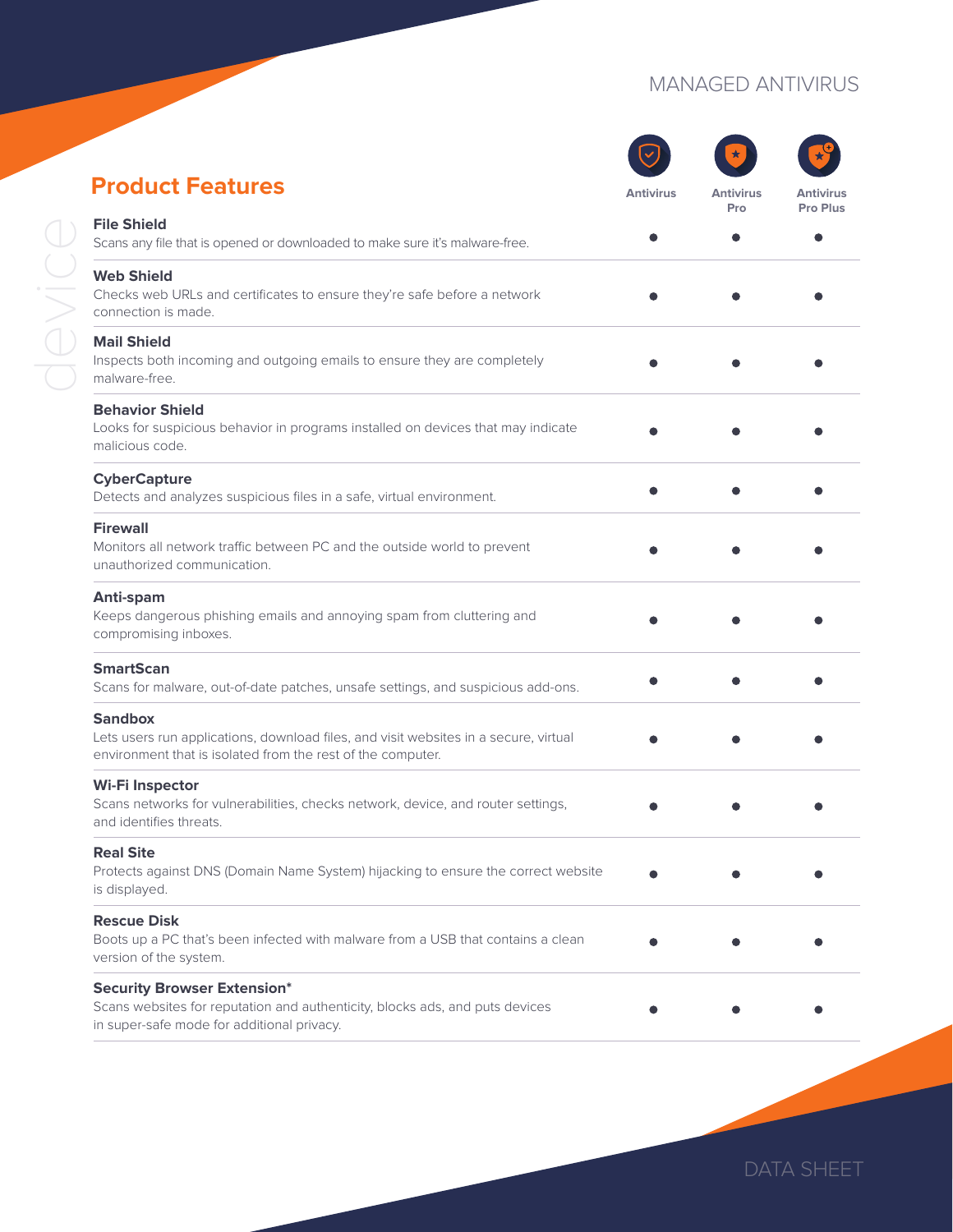## MANAGED ANTIVIRUS

| <b>Product Features</b>                                                                                                                                               | <b>Antivirus</b> | <b>Antivirus</b> | <b>Antivirus</b> |
|-----------------------------------------------------------------------------------------------------------------------------------------------------------------------|------------------|------------------|------------------|
| <b>File Shield</b><br>Scans any file that is opened or downloaded to make sure it's malware-free.                                                                     |                  | Pro              | Pro Plus         |
| <b>Web Shield</b><br>Checks web URLs and certificates to ensure they're safe before a network<br>connection is made.                                                  |                  |                  |                  |
| <b>Mail Shield</b><br>Inspects both incoming and outgoing emails to ensure they are completely<br>malware-free.                                                       |                  |                  |                  |
| <b>Behavior Shield</b><br>Looks for suspicious behavior in programs installed on devices that may indicate<br>malicious code.                                         |                  |                  |                  |
| <b>CyberCapture</b><br>Detects and analyzes suspicious files in a safe, virtual environment.                                                                          |                  |                  |                  |
| <b>Firewall</b><br>Monitors all network traffic between PC and the outside world to prevent<br>unauthorized communication.                                            |                  |                  |                  |
| Anti-spam<br>Keeps dangerous phishing emails and annoying spam from cluttering and<br>compromising inboxes.                                                           |                  |                  |                  |
| <b>SmartScan</b><br>Scans for malware, out-of-date patches, unsafe settings, and suspicious add-ons.                                                                  |                  |                  |                  |
| <b>Sandbox</b><br>Lets users run applications, download files, and visit websites in a secure, virtual<br>environment that is isolated from the rest of the computer. |                  |                  |                  |
| <b>Wi-Fi Inspector</b><br>Scans networks for vulnerabilities, checks network, device, and router settings,<br>and identifies threats.                                 |                  |                  |                  |
| <b>Real Site</b><br>Protects against DNS (Domain Name System) hijacking to ensure the correct website<br>is displayed.                                                |                  |                  |                  |
| <b>Rescue Disk</b><br>Boots up a PC that's been infected with malware from a USB that contains a clean<br>version of the system.                                      |                  |                  |                  |
| <b>Security Browser Extension*</b><br>Scans websites for reputation and authenticity, blocks ads, and puts devices<br>in super-safe mode for additional privacy.      |                  |                  |                  |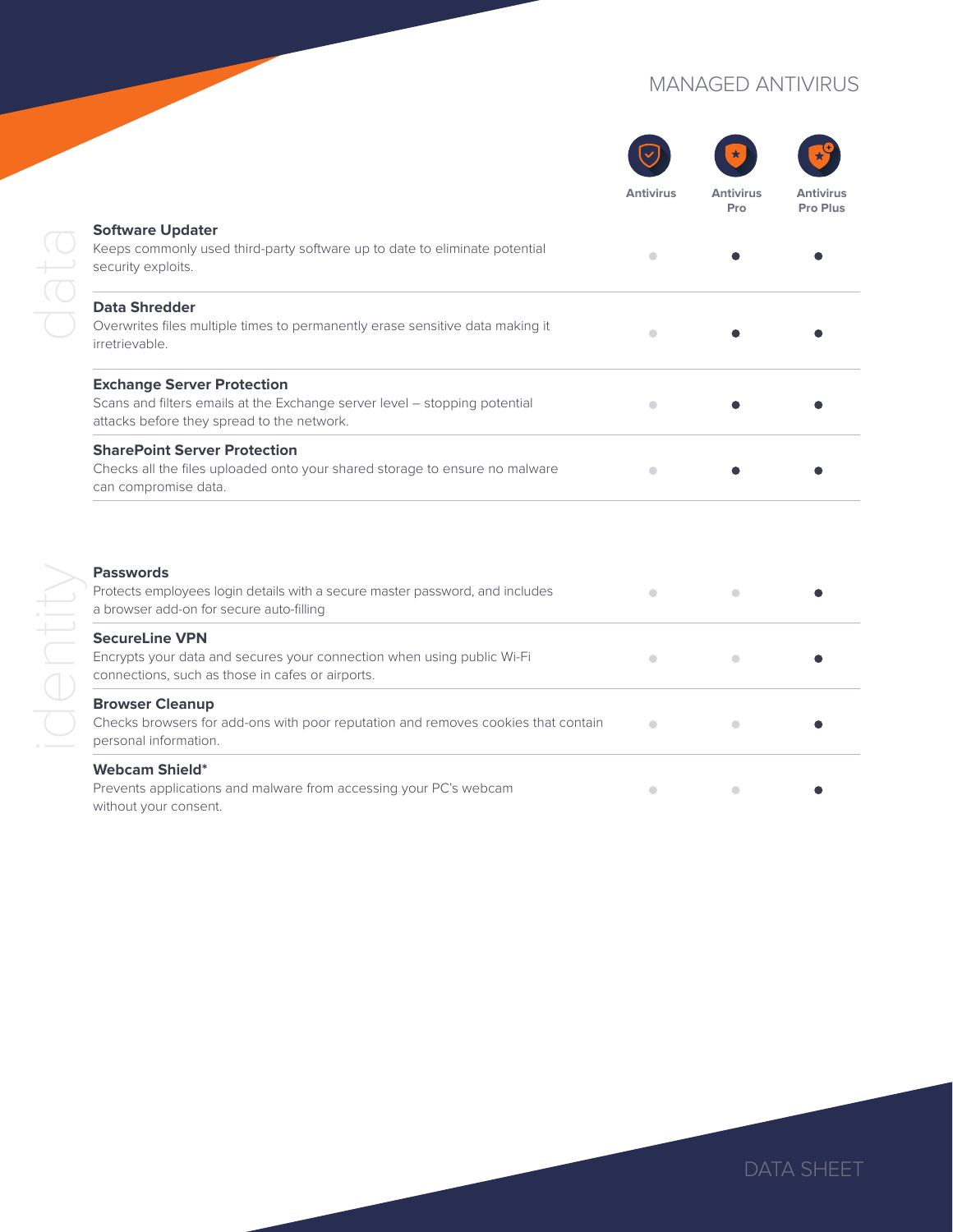## MANAGED ANTIVIRUS

|                                                                                                                                                               | <b>Antivirus</b>     | <b>Antivirus</b><br>Pro | <b>Antivirus</b><br>Pro Plus |
|---------------------------------------------------------------------------------------------------------------------------------------------------------------|----------------------|-------------------------|------------------------------|
| <b>Software Updater</b><br>Keeps commonly used third-party software up to date to eliminate potential<br>security exploits.                                   | $\bigcirc$           |                         |                              |
| <b>Data Shredder</b><br>Overwrites files multiple times to permanently erase sensitive data making it<br>irretrievable.                                       | $\bullet$            |                         |                              |
| <b>Exchange Server Protection</b><br>Scans and filters emails at the Exchange server level - stopping potential<br>attacks before they spread to the network. | $\bigcirc$           |                         |                              |
| <b>SharePoint Server Protection</b><br>Checks all the files uploaded onto your shared storage to ensure no malware<br>can compromise data.                    |                      |                         |                              |
| <b>Passwords</b><br>Protects employees login details with a secure master password, and includes<br>a browser add-on for secure auto-filling                  | $\qquad \qquad \Box$ | $\qquad \qquad \Box$    |                              |
| <b>SecureLine VPN</b><br>Encrypts your data and secures your connection when using public Wi-Fi<br>connections, such as those in cafes or airports.           | $\bullet$            | $\bigcirc$              |                              |
| <b>Browser Cleanup</b><br>Checks browsers for add-ons with poor reputation and removes cookies that contain<br>personal information.                          | $\bigcirc$           | $\bigcirc$              |                              |
| <b>Webcam Shield*</b><br>Prevents applications and malware from accessing your PC's webcam<br>without your consent.                                           | $\bullet$            | $\bullet$               |                              |